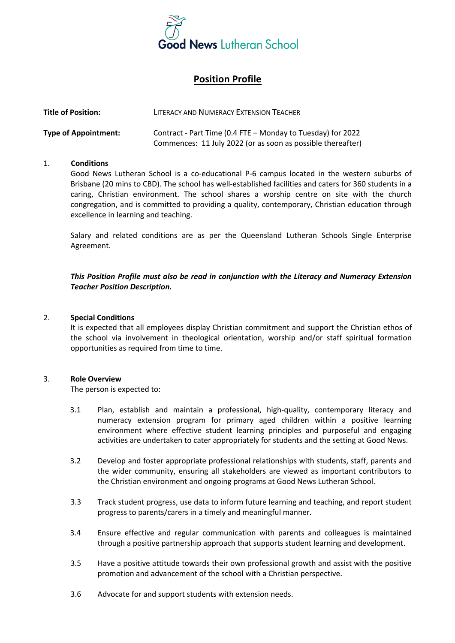

# **Position Profile**

| <b>Title of Position:</b>   | LITERACY AND NUMERACY EXTENSION TEACHER                                                                                    |
|-----------------------------|----------------------------------------------------------------------------------------------------------------------------|
| <b>Type of Appointment:</b> | Contract - Part Time (0.4 FTE – Monday to Tuesday) for 2022<br>Commences: 11 July 2022 (or as soon as possible thereafter) |

### 1. **Conditions**

Good News Lutheran School is a co-educational P-6 campus located in the western suburbs of Brisbane (20 mins to CBD). The school has well-established facilities and caters for 360 students in a caring, Christian environment. The school shares a worship centre on site with the church congregation, and is committed to providing a quality, contemporary, Christian education through excellence in learning and teaching.

Salary and related conditions are as per the Queensland Lutheran Schools Single Enterprise Agreement.

*This Position Profile must also be read in conjunction with the Literacy and Numeracy Extension Teacher Position Description.*

#### 2. **Special Conditions**

It is expected that all employees display Christian commitment and support the Christian ethos of the school via involvement in theological orientation, worship and/or staff spiritual formation opportunities as required from time to time.

### 3. **Role Overview**

The person is expected to:

- 3.1 Plan, establish and maintain a professional, high-quality, contemporary literacy and numeracy extension program for primary aged children within a positive learning environment where effective student learning principles and purposeful and engaging activities are undertaken to cater appropriately for students and the setting at Good News.
- 3.2 Develop and foster appropriate professional relationships with students, staff, parents and the wider community, ensuring all stakeholders are viewed as important contributors to the Christian environment and ongoing programs at Good News Lutheran School.
- 3.3 Track student progress, use data to inform future learning and teaching, and report student progress to parents/carers in a timely and meaningful manner.
- 3.4 Ensure effective and regular communication with parents and colleagues is maintained through a positive partnership approach that supports student learning and development.
- 3.5 Have a positive attitude towards their own professional growth and assist with the positive promotion and advancement of the school with a Christian perspective.
- 3.6 Advocate for and support students with extension needs.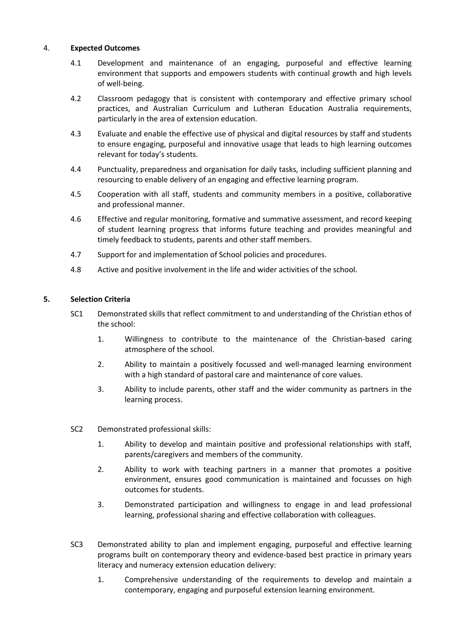### 4. **Expected Outcomes**

- 4.1 Development and maintenance of an engaging, purposeful and effective learning environment that supports and empowers students with continual growth and high levels of well-being.
- 4.2 Classroom pedagogy that is consistent with contemporary and effective primary school practices, and Australian Curriculum and Lutheran Education Australia requirements, particularly in the area of extension education.
- 4.3 Evaluate and enable the effective use of physical and digital resources by staff and students to ensure engaging, purposeful and innovative usage that leads to high learning outcomes relevant for today's students.
- 4.4 Punctuality, preparedness and organisation for daily tasks, including sufficient planning and resourcing to enable delivery of an engaging and effective learning program.
- 4.5 Cooperation with all staff, students and community members in a positive, collaborative and professional manner.
- 4.6 Effective and regular monitoring, formative and summative assessment, and record keeping of student learning progress that informs future teaching and provides meaningful and timely feedback to students, parents and other staff members.
- 4.7 Support for and implementation of School policies and procedures.
- 4.8 Active and positive involvement in the life and wider activities of the school.

## **5. Selection Criteria**

- SC1 Demonstrated skills that reflect commitment to and understanding of the Christian ethos of the school:
	- 1. Willingness to contribute to the maintenance of the Christian-based caring atmosphere of the school.
	- 2. Ability to maintain a positively focussed and well-managed learning environment with a high standard of pastoral care and maintenance of core values.
	- 3. Ability to include parents, other staff and the wider community as partners in the learning process.
- SC2 Demonstrated professional skills:
	- 1. Ability to develop and maintain positive and professional relationships with staff, parents/caregivers and members of the community.
	- 2. Ability to work with teaching partners in a manner that promotes a positive environment, ensures good communication is maintained and focusses on high outcomes for students.
	- 3. Demonstrated participation and willingness to engage in and lead professional learning, professional sharing and effective collaboration with colleagues.
- SC3 Demonstrated ability to plan and implement engaging, purposeful and effective learning programs built on contemporary theory and evidence-based best practice in primary years literacy and numeracy extension education delivery:
	- 1. Comprehensive understanding of the requirements to develop and maintain a contemporary, engaging and purposeful extension learning environment.